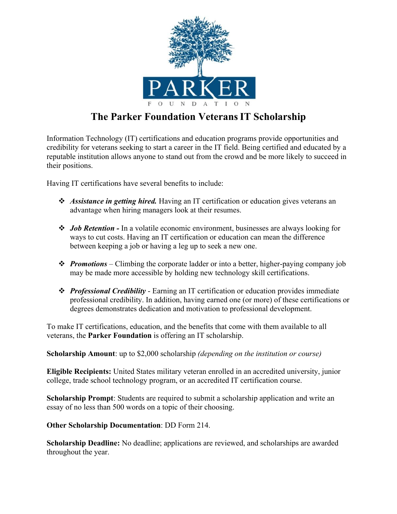

## **The Parker Foundation VeteransIT Scholarship**

Information Technology (IT) certifications and education programs provide opportunities and credibility for veterans seeking to start a career in the IT field. Being certified and educated by a reputable institution allows anyone to stand out from the crowd and be more likely to succeed in their positions.

Having IT certifications have several benefits to include:

- *Assistance in getting hired.* Having an IT certification or education gives veterans an advantage when hiring managers look at their resumes.
- *Job Retention -* In a volatile economic environment, businesses are always looking for ways to cut costs. Having an IT certification or education can mean the difference between keeping a job or having a leg up to seek a new one.
- *Promotions* Climbing the corporate ladder or into a better, higher-paying company job may be made more accessible by holding new technology skill certifications.
- *Professional Credibility* Earning an IT certification or education provides immediate professional credibility. In addition, having earned one (or more) of these certifications or degrees demonstrates dedication and motivation to professional development.

To make IT certifications, education, and the benefits that come with them available to all veterans, the **Parker Foundation** is offering an IT scholarship.

**Scholarship Amount**: up to \$2,000 scholarship *(depending on the institution or course)*

**Eligible Recipients:** United States military veteran enrolled in an accredited university, junior college, trade school technology program, or an accredited IT certification course.

**Scholarship Prompt**: Students are required to submit a scholarship application and write an essay of no less than 500 words on a topic of their choosing.

**Other Scholarship Documentation**: DD Form 214.

**Scholarship Deadline:** No deadline; applications are reviewed, and scholarships are awarded throughout the year.